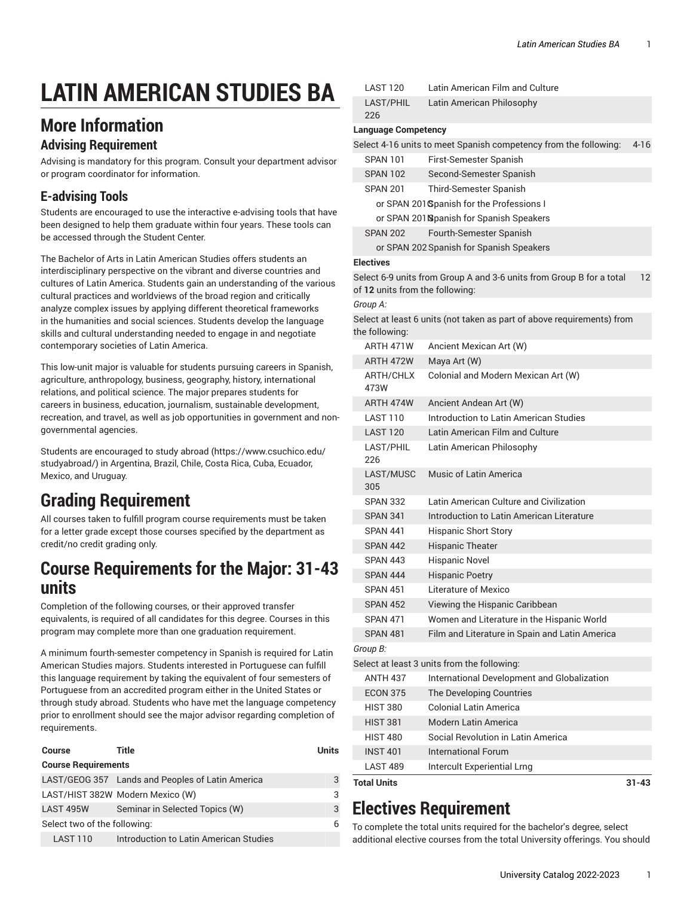# **LATIN AMERICAN STUDIES BA**

## **More Information**

#### **Advising Requirement**

Advising is mandatory for this program. Consult your department advisor or program coordinator for information.

### **E-advising Tools**

Students are encouraged to use the interactive e-advising tools that have been designed to help them graduate within four years. These tools can be accessed through the Student Center.

The Bachelor of Arts in Latin American Studies offers students an interdisciplinary perspective on the vibrant and diverse countries and cultures of Latin America. Students gain an understanding of the various cultural practices and worldviews of the broad region and critically analyze complex issues by applying different theoretical frameworks in the humanities and social sciences. Students develop the language skills and cultural understanding needed to engage in and negotiate contemporary societies of Latin America.

This low-unit major is valuable for students pursuing careers in Spanish, agriculture, anthropology, business, geography, history, international relations, and political science. The major prepares students for careers in business, education, journalism, sustainable development, recreation, and travel, as well as job opportunities in government and nongovernmental agencies.

Students are encouraged to study [abroad \(https://www.csuchico.edu/](https://www.csuchico.edu/studyabroad/) [studyabroad/](https://www.csuchico.edu/studyabroad/)) in Argentina, Brazil, Chile, Costa Rica, Cuba, Ecuador, Mexico, and Uruguay.

# **Grading Requirement**

All courses taken to fulfill program course requirements must be taken for a letter grade except those courses specified by the department as credit/no credit grading only.

## **Course Requirements for the Major: 31-43 units**

Completion of the following courses, or their approved transfer equivalents, is required of all candidates for this degree. Courses in this program may complete more than one graduation requirement.

A minimum fourth-semester competency in Spanish is required for Latin American Studies majors. Students interested in Portuguese can fulfill this language requirement by taking the equivalent of four semesters of Portuguese from an accredited program either in the United States or through study abroad. Students who have met the language competency prior to enrollment should see the major advisor regarding completion of requirements.

| Title                                            | <b>Units</b> |  |
|--------------------------------------------------|--------------|--|
| <b>Course Requirements</b>                       |              |  |
| LAST/GEOG 357 Lands and Peoples of Latin America | 3            |  |
| LAST/HIST 382W Modern Mexico (W)                 | 3            |  |
| Seminar in Selected Topics (W)                   | 3            |  |
| Select two of the following:                     | 6            |  |
| Introduction to Latin American Studies           |              |  |
|                                                  |              |  |

| <b>LAST 120</b>                 | Latin American Film and Culture                                        |           |
|---------------------------------|------------------------------------------------------------------------|-----------|
| LAST/PHIL<br>226                | Latin American Philosophy                                              |           |
| <b>Language Competency</b>      |                                                                        |           |
|                                 | Select 4-16 units to meet Spanish competency from the following:       | $4 - 16$  |
| <b>SPAN 101</b>                 | First-Semester Spanish                                                 |           |
| <b>SPAN 102</b>                 | Second-Semester Spanish                                                |           |
| <b>SPAN 201</b>                 | Third-Semester Spanish                                                 |           |
|                                 | or SPAN 201 Spanish for the Professions I                              |           |
|                                 | or SPAN 201 Spanish for Spanish Speakers                               |           |
| <b>SPAN 202</b>                 | Fourth-Semester Spanish                                                |           |
|                                 | or SPAN 202 Spanish for Spanish Speakers                               |           |
| <b>Electives</b>                |                                                                        |           |
| of 12 units from the following: | Select 6-9 units from Group A and 3-6 units from Group B for a total   | 12        |
| Group A:                        |                                                                        |           |
| the following:                  | Select at least 6 units (not taken as part of above requirements) from |           |
| ARTH 471W                       | Ancient Mexican Art (W)                                                |           |
| ARTH 472W                       | Maya Art (W)                                                           |           |
| ARTH/CHLX<br>473W               | Colonial and Modern Mexican Art (W)                                    |           |
| ARTH 474W                       | Ancient Andean Art (W)                                                 |           |
| <b>LAST 110</b>                 | Introduction to Latin American Studies                                 |           |
| <b>LAST 120</b>                 | Latin American Film and Culture                                        |           |
| LAST/PHIL<br>226                | Latin American Philosophy                                              |           |
| LAST/MUSC<br>305                | Music of Latin America                                                 |           |
| <b>SPAN 332</b>                 | Latin American Culture and Civilization                                |           |
| <b>SPAN 341</b>                 | Introduction to Latin American Literature                              |           |
| <b>SPAN 441</b>                 | <b>Hispanic Short Story</b>                                            |           |
| <b>SPAN 442</b>                 | <b>Hispanic Theater</b>                                                |           |
| <b>SPAN 443</b>                 | <b>Hispanic Novel</b>                                                  |           |
| <b>SPAN 444</b>                 | <b>Hispanic Poetry</b>                                                 |           |
| <b>SPAN 451</b>                 | Literature of Mexico                                                   |           |
| <b>SPAN 452</b>                 | Viewing the Hispanic Caribbean                                         |           |
| <b>SPAN 471</b>                 | Women and Literature in the Hispanic World                             |           |
| <b>SPAN 481</b>                 | Film and Literature in Spain and Latin America                         |           |
| Group B:                        |                                                                        |           |
|                                 | Select at least 3 units from the following:                            |           |
| <b>ANTH 437</b>                 | International Development and Globalization                            |           |
| <b>ECON 375</b>                 | The Developing Countries                                               |           |
| <b>HIST 380</b>                 | Colonial Latin America                                                 |           |
| <b>HIST 381</b>                 | Modern Latin America                                                   |           |
| <b>HIST 480</b>                 | Social Revolution in Latin America                                     |           |
| <b>INST 401</b>                 | International Forum                                                    |           |
| <b>LAST 489</b>                 | Intercult Experiential Lrng                                            |           |
| <b>Total Units</b>              |                                                                        | $31 - 43$ |

# **Electives Requirement**

To complete the total units required for the bachelor's degree, select additional elective courses from the total University offerings. You should